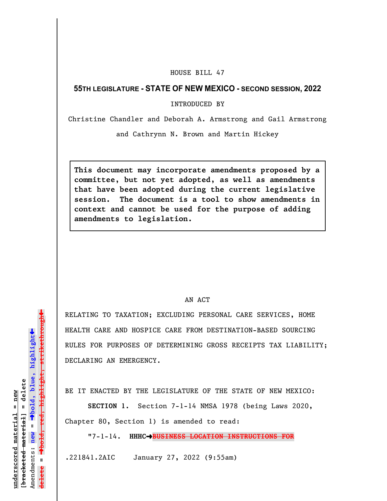## HOUSE BILL 47

## **55TH LEGISLATURE - STATE OF NEW MEXICO - SECOND SESSION, 2022**

INTRODUCED BY

Christine Chandler and Deborah A. Armstrong and Gail Armstrong

and Cathrynn N. Brown and Martin Hickey

**This document may incorporate amendments proposed by a committee, but not yet adopted, as well as amendments that have been adopted during the current legislative session. The document is a tool to show amendments in context and cannot be used for the purpose of adding amendments to legislation.**

## AN ACT

RELATING TO TAXATION; EXCLUDING PERSONAL CARE SERVICES, HOME HEALTH CARE AND HOSPICE CARE FROM DESTINATION-BASED SOURCING RULES FOR PURPOSES OF DETERMINING GROSS RECEIPTS TAX LIABILITY; DECLARING AN EMERGENCY.

BE IT ENACTED BY THE LEGISLATURE OF THE STATE OF NEW MEXICO:

**SECTION 1.** Section 7-1-14 NMSA 1978 (being Laws 2020, Chapter 80, Section 1) is amended to read:

"7-1-14. **HHHC**º**BUSINESS LOCATION INSTRUCTIONS FOR**

.221841.2AIC January 27, 2022 (9:55am)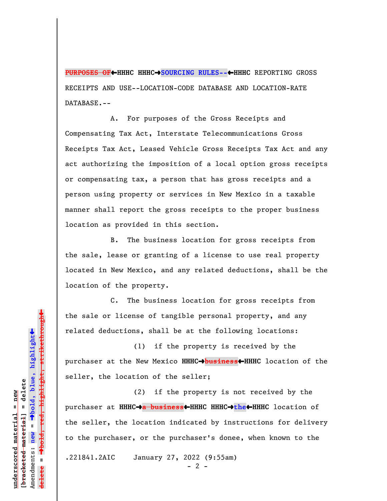**PURPOSES OF←HHHC HHHC→SOURCING RULES--←HHHC** REPORTING GROSS RECEIPTS AND USE--LOCATION-CODE DATABASE AND LOCATION-RATE DATABASE.--

A. For purposes of the Gross Receipts and Compensating Tax Act, Interstate Telecommunications Gross Receipts Tax Act, Leased Vehicle Gross Receipts Tax Act and any act authorizing the imposition of a local option gross receipts or compensating tax, a person that has gross receipts and a person using property or services in New Mexico in a taxable manner shall report the gross receipts to the proper business location as provided in this section.

B. The business location for gross receipts from the sale, lease or granting of a license to use real property located in New Mexico, and any related deductions, shall be the location of the property.

C. The business location for gross receipts from the sale or license of tangible personal property, and any related deductions, shall be at the following locations:

(1) if the property is received by the purchaser at the New Mexico **HHHC**º**business**»**HHHC** location of the seller, the location of the seller;

(2) if the property is not received by the purchaser at **HHHC**º**a business**»**HHHC HHHC**º**the**»**HHHC** location of the seller, the location indicated by instructions for delivery to the purchaser, or the purchaser's donee, when known to the

.221841.2AIC January 27, 2022 (9:55am)

 $- 2 -$ 

Dold, red, highlight, strikethrough º**bold, red, highlight, strikethrough**  $\ddot{\bullet}$ º**bold, blue, highlight**  $b$ racketed material] = delete **[bracketed material] = delete** inderscored material = new **underscored material = new** Amendments: **new** =  $\mathbf{I}$ Amendments: new **delete =**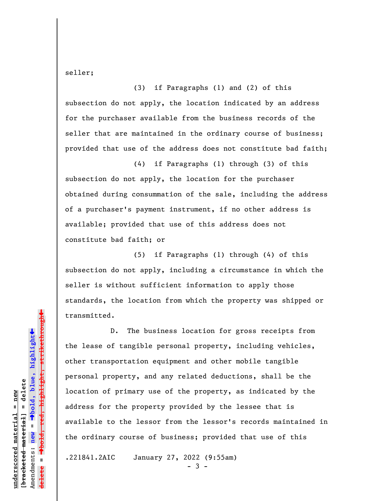seller;

(3) if Paragraphs (1) and (2) of this subsection do not apply, the location indicated by an address for the purchaser available from the business records of the seller that are maintained in the ordinary course of business; provided that use of the address does not constitute bad faith;

(4) if Paragraphs (1) through (3) of this subsection do not apply, the location for the purchaser obtained during consummation of the sale, including the address of a purchaser's payment instrument, if no other address is available; provided that use of this address does not constitute bad faith; or

(5) if Paragraphs (1) through (4) of this subsection do not apply, including a circumstance in which the seller is without sufficient information to apply those standards, the location from which the property was shipped or transmitted.

D. The business location for gross receipts from the lease of tangible personal property, including vehicles, other transportation equipment and other mobile tangible personal property, and any related deductions, shall be the location of primary use of the property, as indicated by the address for the property provided by the lessee that is available to the lessor from the lessor's records maintained in the ordinary course of business; provided that use of this

.221841.2AIC January 27, 2022 (9:55am)

- 3 -

 $\ddag$ º**bold, red, highlight, strikethrough**  $\ddot{\bullet}$ º**bold, blue, highlight**  $b$ racketed material] = delete **[bracketed material] = delete** inderscored material = new **underscored material = new** Amendments: **new** =  $\mathbf{I}$ Amendments: new **delete =**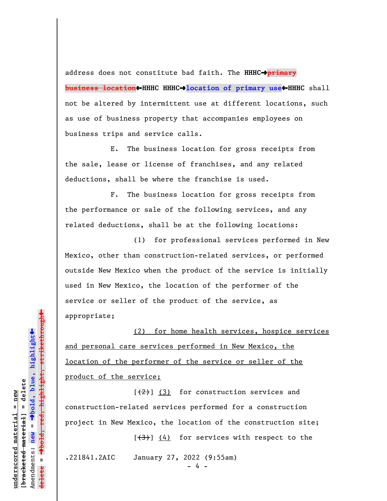address does not constitute bad faith. The HHHC<sup>+</sup>*primary* **business location**»**HHHC HHHC**º**location of primary use**»**HHHC** shall not be altered by intermittent use at different locations, such as use of business property that accompanies employees on business trips and service calls.

E. The business location for gross receipts from the sale, lease or license of franchises, and any related deductions, shall be where the franchise is used.

F. The business location for gross receipts from the performance or sale of the following services, and any related deductions, shall be at the following locations:

(1) for professional services performed in New Mexico, other than construction-related services, or performed outside New Mexico when the product of the service is initially used in New Mexico, the location of the performer of the service or seller of the product of the service, as appropriate;

(2) for home health services, hospice services and personal care services performed in New Mexico, the location of the performer of the service or seller of the product of the service;

 $[\frac{1}{2}]$  (3) for construction services and construction-related services performed for a construction project in New Mexico, the location of the construction site;

.221841.2AIC January 27, 2022 (9:55am)

 $[\frac{1}{3}]$  (4) for services with respect to the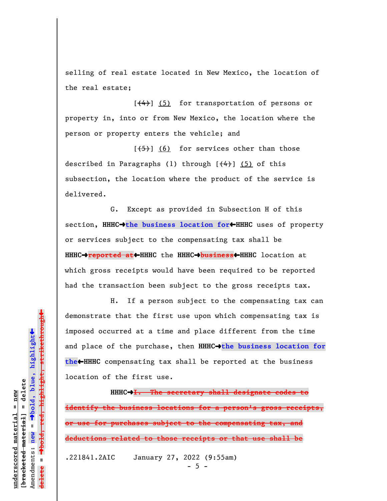selling of real estate located in New Mexico, the location of the real estate;

 $[\frac{4}{4}]$  (5) for transportation of persons or property in, into or from New Mexico, the location where the person or property enters the vehicle; and

 $[**(5)**]$  (6) for services other than those described in Paragraphs (1) through  $[$   $(4)$   $]$   $(5)$  of this subsection, the location where the product of the service is delivered.

G. Except as provided in Subsection H of this section, HHHC<sup>+</sup>the business location for<sup>+</sup>HHHC uses of property or services subject to the compensating tax shall be **HHHC**º**reported at**»**HHHC** the **HHHC**º**business**»**HHHC** location at which gross receipts would have been required to be reported had the transaction been subject to the gross receipts tax.

H. If a person subject to the compensating tax can demonstrate that the first use upon which compensating tax is imposed occurred at a time and place different from the time and place of the purchase, then HHHC<sup>+</sup>the business location for **the**»**HHHC** compensating tax shall be reported at the business location of the first use.

**HHHC**º**I. The secretary shall designate codes to identify the business locations for a person's gross receipts, or use for purchases subject to the compensating tax, and deductions related to those receipts or that use shall be** .221841.2AIC January 27, 2022 (9:55am)

 $-5 -$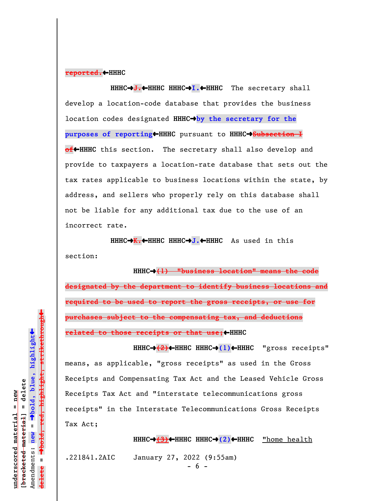## **reported.**»**HHHC**

HHHC→<del>J.↓</del>HHHC HHHC→I.←HHHC The secretary shall develop a location-code database that provides the business location codes designated **HHHC**º**by the secretary for the purposes of reporting**•HHHC pursuant to HHHC→Subsection I **of**<sup>+</sup>HHHC this section. The secretary shall also develop and provide to taxpayers a location-rate database that sets out the tax rates applicable to business locations within the state, by address, and sellers who properly rely on this database shall not be liable for any additional tax due to the use of an incorrect rate.

HHHC→K.←HHHC HHHC→J.←HHHC As used in this section:

**HHHC**º**(1) "business location" means the code designated by the department to identify business locations and required to be used to report the gross receipts, or use for purchases subject to the compensating tax, and deductions related to those receipts or that use;** 

HHHC→(2)←HHHC HHHC→(1)←HHHC "gross receipts" means, as applicable, "gross receipts" as used in the Gross Receipts and Compensating Tax Act and the Leased Vehicle Gross Receipts Tax Act and "interstate telecommunications gross receipts" in the Interstate Telecommunications Gross Receipts Tax Act;

**HHHC**º**(3)**»**HHHC HHHC**º**(2)**»**HHHC** "home health

.221841.2AIC January 27, 2022 (9:55am)

- 6 -

 $\ddag$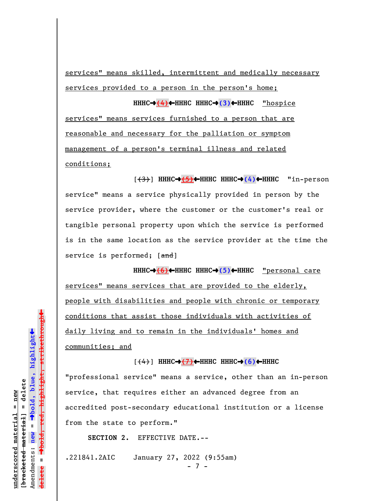services" means skilled, intermittent and medically necessary services provided to a person in the person's home;

**HHHC**º**(4)**»**HHHC HHHC**º**(3)**»**HHHC** "hospice

services" means services furnished to a person that are reasonable and necessary for the palliation or symptom management of a person's terminal illness and related conditions;

[(3)] **HHHC**º**(5)**»**HHHC HHHC**º**(4)**»**HHHC** "in-person service" means a service physically provided in person by the service provider, where the customer or the customer's real or tangible personal property upon which the service is performed is in the same location as the service provider at the time the service is performed; [and]

**HHHC**º**(6)**»**HHHC HHHC**º**(5)**»**HHHC** "personal care services" means services that are provided to the elderly, people with disabilities and people with chronic or temporary conditions that assist those individuals with activities of daily living and to remain in the individuals' homes and communities; and

 $(\leftrightarrow)$  HHHC $\rightarrow$ (7)  $\leftrightarrow$  HHHC HHHC $\rightarrow$ (6)  $\leftrightarrow$  HHHC

"professional service" means a service, other than an in-person service, that requires either an advanced degree from an accredited post-secondary educational institution or a license from the state to perform."

**SECTION 2.** EFFECTIVE DATE.--

.221841.2AIC January 27, 2022 (9:55am)